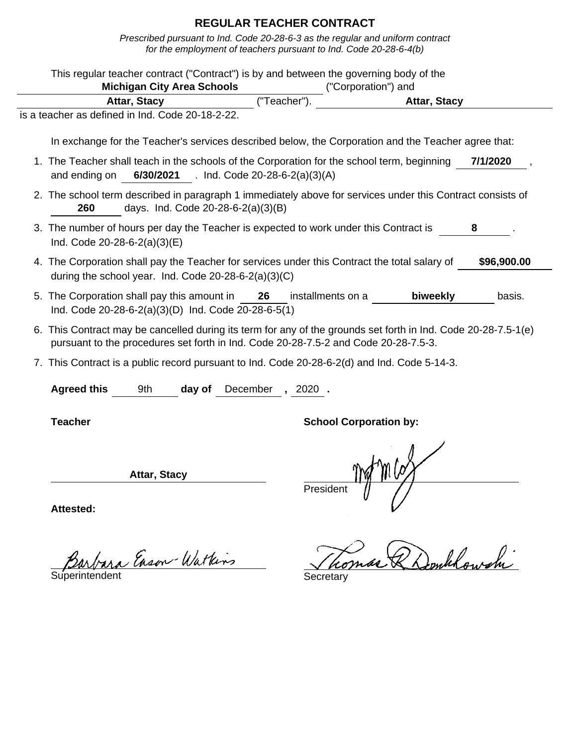|                              | This regular teacher contract ("Contract") is by and between the governing body of the<br><b>Michigan City Area Schools</b>                                                                           |                        |                               | ("Corporation") and |             |
|------------------------------|-------------------------------------------------------------------------------------------------------------------------------------------------------------------------------------------------------|------------------------|-------------------------------|---------------------|-------------|
|                              | Attar, Stacy                                                                                                                                                                                          | ("Teacher").           |                               | <b>Attar, Stacy</b> |             |
|                              | is a teacher as defined in Ind. Code 20-18-2-22.                                                                                                                                                      |                        |                               |                     |             |
|                              | In exchange for the Teacher's services described below, the Corporation and the Teacher agree that:                                                                                                   |                        |                               |                     |             |
| and ending on                | 1. The Teacher shall teach in the schools of the Corporation for the school term, beginning<br>6/30/2021 . Ind. Code 20-28-6-2(a)(3)(A)                                                               |                        |                               |                     | 7/1/2020    |
| 260                          | 2. The school term described in paragraph 1 immediately above for services under this Contract consists of<br>days. Ind. Code 20-28-6-2(a)(3)(B)                                                      |                        |                               |                     |             |
| Ind. Code 20-28-6-2(a)(3)(E) | 3. The number of hours per day the Teacher is expected to work under this Contract is                                                                                                                 |                        |                               |                     | 8           |
|                              | 4. The Corporation shall pay the Teacher for services under this Contract the total salary of<br>during the school year. Ind. Code $20-28-6-2(a)(3)(C)$                                               |                        |                               |                     | \$96,900.00 |
|                              | 5. The Corporation shall pay this amount in 26<br>Ind. Code 20-28-6-2(a)(3)(D) Ind. Code 20-28-6-5(1)                                                                                                 |                        | installments on a             | biweekly            | basis.      |
|                              | 6. This Contract may be cancelled during its term for any of the grounds set forth in Ind. Code 20-28-7.5-1(e)<br>pursuant to the procedures set forth in Ind. Code 20-28-7.5-2 and Code 20-28-7.5-3. |                        |                               |                     |             |
|                              | 7. This Contract is a public record pursuant to Ind. Code 20-28-6-2(d) and Ind. Code 5-14-3.                                                                                                          |                        |                               |                     |             |
| <b>Agreed this</b>           | 9th                                                                                                                                                                                                   | day of December, 2020. |                               |                     |             |
| <b>Teacher</b>               |                                                                                                                                                                                                       |                        | <b>School Corporation by:</b> |                     |             |
|                              | Attar, Stacy                                                                                                                                                                                          |                        | President                     | m cof               |             |
| <b>Attested:</b>             |                                                                                                                                                                                                       |                        |                               |                     |             |

Barbara Enson-Watkins Thomas R Domblowshi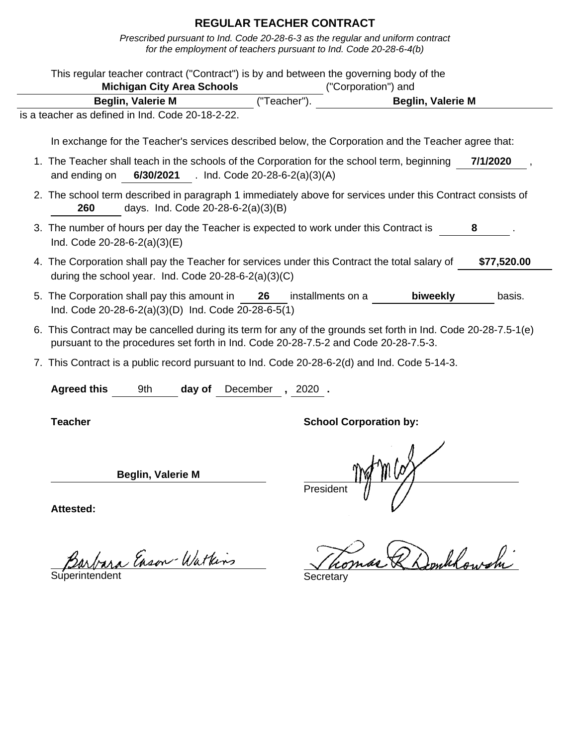Prescribed pursuant to Ind. Code 20-28-6-3 as the regular and uniform contract for the employment of teachers pursuant to Ind. Code 20-28-6-4(b)

| This regular teacher contract ("Contract") is by and between the governing body of the                                                                                                                | <b>Michigan City Area Schools</b> |        |                                          |              | ("Corporation") and           |                                                                                                     |             |
|-------------------------------------------------------------------------------------------------------------------------------------------------------------------------------------------------------|-----------------------------------|--------|------------------------------------------|--------------|-------------------------------|-----------------------------------------------------------------------------------------------------|-------------|
|                                                                                                                                                                                                       | <b>Beglin, Valerie M</b>          |        |                                          | ("Teacher"). |                               | <b>Beglin, Valerie M</b>                                                                            |             |
| is a teacher as defined in Ind. Code 20-18-2-22.                                                                                                                                                      |                                   |        |                                          |              |                               |                                                                                                     |             |
|                                                                                                                                                                                                       |                                   |        |                                          |              |                               | In exchange for the Teacher's services described below, the Corporation and the Teacher agree that: |             |
| 1. The Teacher shall teach in the schools of the Corporation for the school term, beginning<br>and ending on                                                                                          |                                   |        | 6/30/2021 . Ind. Code 20-28-6-2(a)(3)(A) |              |                               |                                                                                                     | 7/1/2020    |
| 2. The school term described in paragraph 1 immediately above for services under this Contract consists of<br>260                                                                                     |                                   |        | days. Ind. Code 20-28-6-2(a)(3)(B)       |              |                               |                                                                                                     |             |
| 3. The number of hours per day the Teacher is expected to work under this Contract is<br>Ind. Code $20-28-6-2(a)(3)(E)$                                                                               |                                   |        |                                          |              |                               |                                                                                                     | 8           |
| 4. The Corporation shall pay the Teacher for services under this Contract the total salary of<br>during the school year. Ind. Code $20-28-6-2(a)(3)(C)$                                               |                                   |        |                                          |              |                               |                                                                                                     | \$77,520.00 |
| 5. The Corporation shall pay this amount in 26 installments on a<br>Ind. Code 20-28-6-2(a)(3)(D) Ind. Code 20-28-6-5(1)                                                                               |                                   |        |                                          |              |                               | biweekly                                                                                            | basis.      |
| 6. This Contract may be cancelled during its term for any of the grounds set forth in Ind. Code 20-28-7.5-1(e)<br>pursuant to the procedures set forth in Ind. Code 20-28-7.5-2 and Code 20-28-7.5-3. |                                   |        |                                          |              |                               |                                                                                                     |             |
| 7. This Contract is a public record pursuant to Ind. Code 20-28-6-2(d) and Ind. Code 5-14-3.                                                                                                          |                                   |        |                                          |              |                               |                                                                                                     |             |
| <b>Agreed this</b>                                                                                                                                                                                    | 9th                               | day of | December, 2020.                          |              |                               |                                                                                                     |             |
| <b>Teacher</b>                                                                                                                                                                                        |                                   |        |                                          |              | <b>School Corporation by:</b> |                                                                                                     |             |
|                                                                                                                                                                                                       | <b>Beglin, Valerie M</b>          |        |                                          | President    |                               |                                                                                                     |             |
| Attested:                                                                                                                                                                                             |                                   |        |                                          |              |                               |                                                                                                     |             |

Barbara Enson-Watkins Jho.

Tomas & Donklowshi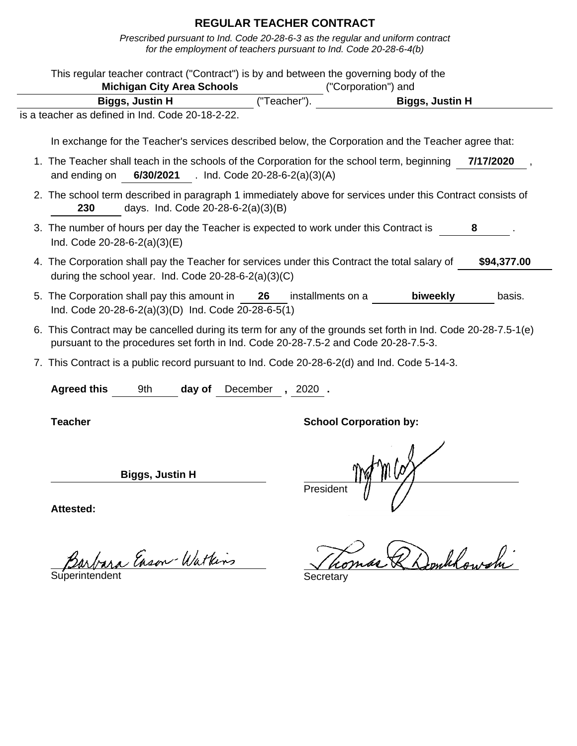Prescribed pursuant to Ind. Code 20-28-6-3 as the regular and uniform contract for the employment of teachers pursuant to Ind. Code 20-28-6-4(b)

| This regular teacher contract ("Contract") is by and between the governing body of the                                                                                                                | <b>Michigan City Area Schools</b>        |             |                   | ("Corporation") and           |             |
|-------------------------------------------------------------------------------------------------------------------------------------------------------------------------------------------------------|------------------------------------------|-------------|-------------------|-------------------------------|-------------|
| Biggs, Justin H                                                                                                                                                                                       |                                          | ("Teacher") |                   | <b>Biggs, Justin H</b>        |             |
| is a teacher as defined in Ind. Code 20-18-2-22.                                                                                                                                                      |                                          |             |                   |                               |             |
| In exchange for the Teacher's services described below, the Corporation and the Teacher agree that:                                                                                                   |                                          |             |                   |                               |             |
| 1. The Teacher shall teach in the schools of the Corporation for the school term, beginning<br>and ending on                                                                                          | 6/30/2021 . Ind. Code 20-28-6-2(a)(3)(A) |             |                   |                               | 7/17/2020   |
| 2. The school term described in paragraph 1 immediately above for services under this Contract consists of<br>230                                                                                     | days. Ind. Code 20-28-6-2(a)(3)(B)       |             |                   |                               |             |
| 3. The number of hours per day the Teacher is expected to work under this Contract is<br>Ind. Code 20-28-6-2(a)(3)(E)                                                                                 |                                          |             |                   |                               | 8           |
| 4. The Corporation shall pay the Teacher for services under this Contract the total salary of<br>during the school year. Ind. Code 20-28-6-2(a)(3)(C)                                                 |                                          |             |                   |                               | \$94,377.00 |
| 5. The Corporation shall pay this amount in 26<br>Ind. Code 20-28-6-2(a)(3)(D) Ind. Code 20-28-6-5(1)                                                                                                 |                                          |             | installments on a | biweekly                      | basis.      |
| 6. This Contract may be cancelled during its term for any of the grounds set forth in Ind. Code 20-28-7.5-1(e)<br>pursuant to the procedures set forth in Ind. Code 20-28-7.5-2 and Code 20-28-7.5-3. |                                          |             |                   |                               |             |
| 7. This Contract is a public record pursuant to Ind. Code 20-28-6-2(d) and Ind. Code 5-14-3.                                                                                                          |                                          |             |                   |                               |             |
| <b>Agreed this</b><br>9th                                                                                                                                                                             | day of                                   | December    | $, 2020$ .        |                               |             |
| <b>Teacher</b>                                                                                                                                                                                        |                                          |             |                   | <b>School Corporation by:</b> |             |
| <b>Biggs, Justin H</b>                                                                                                                                                                                |                                          |             | President         |                               |             |
| <b>Attested:</b>                                                                                                                                                                                      |                                          |             |                   |                               |             |

Tomas & Donklowshi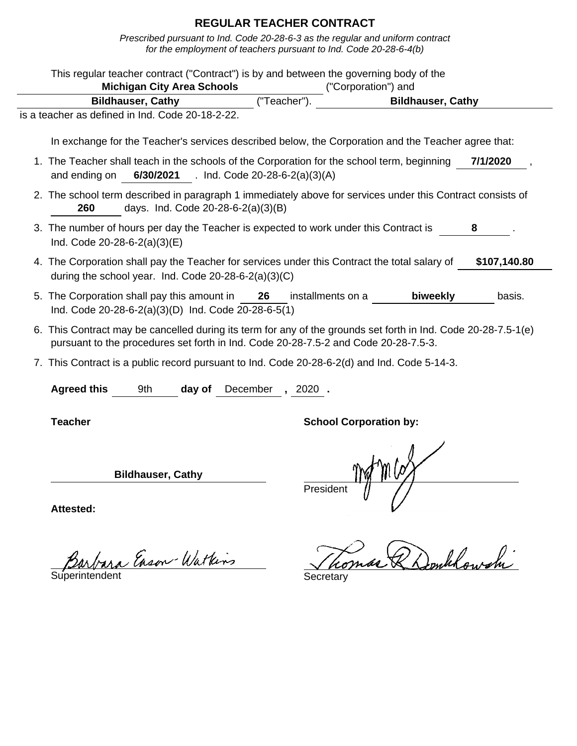| This regular teacher contract ("Contract") is by and between the governing body of the                                                                                                                | <b>Michigan City Area Schools</b> |                                          |             | ("Corporation") and           |                                                                                                     |              |
|-------------------------------------------------------------------------------------------------------------------------------------------------------------------------------------------------------|-----------------------------------|------------------------------------------|-------------|-------------------------------|-----------------------------------------------------------------------------------------------------|--------------|
|                                                                                                                                                                                                       | <b>Bildhauser, Cathy</b>          |                                          | ("Teacher") |                               | <b>Bildhauser, Cathy</b>                                                                            |              |
| is a teacher as defined in Ind. Code 20-18-2-22.                                                                                                                                                      |                                   |                                          |             |                               |                                                                                                     |              |
|                                                                                                                                                                                                       |                                   |                                          |             |                               |                                                                                                     |              |
|                                                                                                                                                                                                       |                                   |                                          |             |                               | In exchange for the Teacher's services described below, the Corporation and the Teacher agree that: |              |
| 1. The Teacher shall teach in the schools of the Corporation for the school term, beginning<br>and ending on                                                                                          |                                   | 6/30/2021 . Ind. Code 20-28-6-2(a)(3)(A) |             |                               |                                                                                                     | 7/1/2020     |
| 2. The school term described in paragraph 1 immediately above for services under this Contract consists of<br>260                                                                                     |                                   | days. Ind. Code 20-28-6-2(a)(3)(B)       |             |                               |                                                                                                     |              |
| 3. The number of hours per day the Teacher is expected to work under this Contract is<br>Ind. Code 20-28-6-2(a)(3)(E)                                                                                 |                                   |                                          |             |                               |                                                                                                     | 8            |
| 4. The Corporation shall pay the Teacher for services under this Contract the total salary of<br>during the school year. Ind. Code 20-28-6-2(a)(3)(C)                                                 |                                   |                                          |             |                               |                                                                                                     | \$107,140.80 |
| 5. The Corporation shall pay this amount in 26<br>Ind. Code 20-28-6-2(a)(3)(D) Ind. Code 20-28-6-5(1)                                                                                                 |                                   |                                          |             | installments on a             | biweekly                                                                                            | basis.       |
| 6. This Contract may be cancelled during its term for any of the grounds set forth in Ind. Code 20-28-7.5-1(e)<br>pursuant to the procedures set forth in Ind. Code 20-28-7.5-2 and Code 20-28-7.5-3. |                                   |                                          |             |                               |                                                                                                     |              |
| 7. This Contract is a public record pursuant to Ind. Code 20-28-6-2(d) and Ind. Code 5-14-3.                                                                                                          |                                   |                                          |             |                               |                                                                                                     |              |
| <b>Agreed this</b>                                                                                                                                                                                    | 9th                               | day of December, 2020.                   |             |                               |                                                                                                     |              |
| <b>Teacher</b>                                                                                                                                                                                        |                                   |                                          |             | <b>School Corporation by:</b> |                                                                                                     |              |
|                                                                                                                                                                                                       | <b>Bildhauser, Cathy</b>          |                                          | President   |                               |                                                                                                     |              |
| <b>Attested:</b>                                                                                                                                                                                      |                                   |                                          |             |                               |                                                                                                     |              |

Barbara Enson-Watkins Thomas R Domblowshi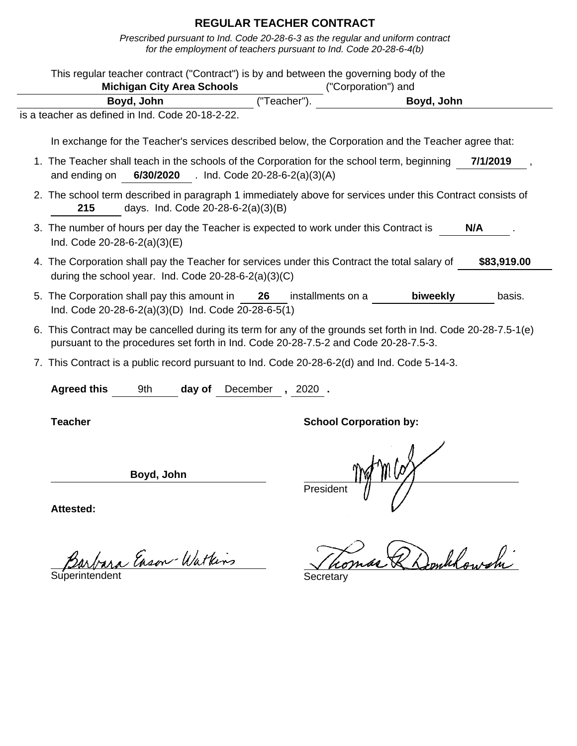|                    | This regular teacher contract ("Contract") is by and between the governing body of the<br><b>Michigan City Area Schools</b>                                                                           |                 | ("Corporation") and           |            |             |
|--------------------|-------------------------------------------------------------------------------------------------------------------------------------------------------------------------------------------------------|-----------------|-------------------------------|------------|-------------|
|                    | Boyd, John                                                                                                                                                                                            | ("Teacher").    |                               | Boyd, John |             |
|                    | is a teacher as defined in Ind. Code 20-18-2-22.                                                                                                                                                      |                 |                               |            |             |
|                    | In exchange for the Teacher's services described below, the Corporation and the Teacher agree that:                                                                                                   |                 |                               |            |             |
| and ending on      | 1. The Teacher shall teach in the schools of the Corporation for the school term, beginning<br>6/30/2020 . Ind. Code 20-28-6-2(a)(3)(A)                                                               |                 |                               |            | 7/1/2019    |
| 215                | 2. The school term described in paragraph 1 immediately above for services under this Contract consists of<br>days. Ind. Code 20-28-6-2(a)(3)(B)                                                      |                 |                               |            |             |
|                    | 3. The number of hours per day the Teacher is expected to work under this Contract is<br>Ind. Code $20-28-6-2(a)(3)(E)$                                                                               |                 |                               |            | N/A         |
|                    | 4. The Corporation shall pay the Teacher for services under this Contract the total salary of<br>during the school year. Ind. Code 20-28-6-2(a)(3)(C)                                                 |                 |                               |            | \$83,919.00 |
|                    | 5. The Corporation shall pay this amount in 26<br>Ind. Code 20-28-6-2(a)(3)(D) Ind. Code 20-28-6-5(1)                                                                                                 |                 | installments on a             | biweekly   | basis.      |
|                    | 6. This Contract may be cancelled during its term for any of the grounds set forth in Ind. Code 20-28-7.5-1(e)<br>pursuant to the procedures set forth in Ind. Code 20-28-7.5-2 and Code 20-28-7.5-3. |                 |                               |            |             |
|                    | 7. This Contract is a public record pursuant to Ind. Code 20-28-6-2(d) and Ind. Code 5-14-3.                                                                                                          |                 |                               |            |             |
| <b>Agreed this</b> | 9th<br>day of                                                                                                                                                                                         | December, 2020. |                               |            |             |
|                    |                                                                                                                                                                                                       |                 |                               |            |             |
| <b>Teacher</b>     |                                                                                                                                                                                                       |                 | <b>School Corporation by:</b> |            |             |
|                    | Boyd, John                                                                                                                                                                                            |                 | Presiden                      |            |             |

Barbara Enson-Watkins Thomas R Domblowshi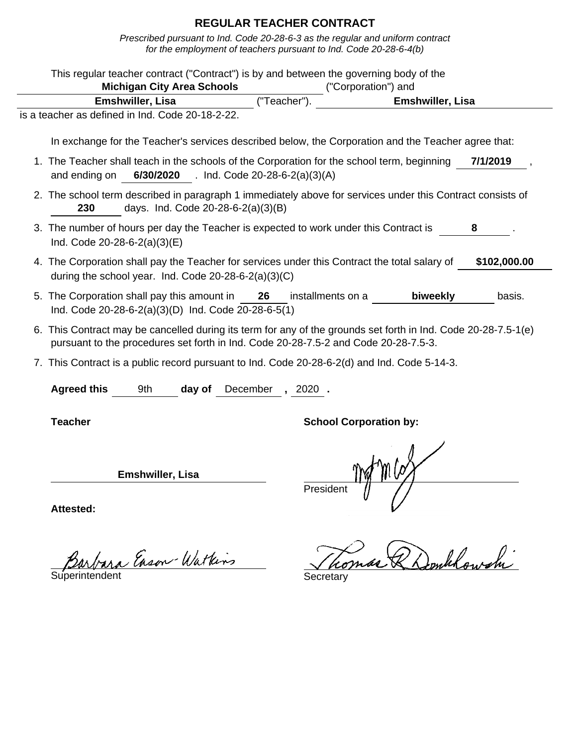| This regular teacher contract ("Contract") is by and between the governing body of the                                                                                                                |                                          |                   |                               |              |
|-------------------------------------------------------------------------------------------------------------------------------------------------------------------------------------------------------|------------------------------------------|-------------------|-------------------------------|--------------|
| <b>Michigan City Area Schools</b>                                                                                                                                                                     |                                          |                   | ("Corporation") and           |              |
| Emshwiller, Lisa                                                                                                                                                                                      |                                          | ("Teacher").      | Emshwiller, Lisa              |              |
| is a teacher as defined in Ind. Code 20-18-2-22.                                                                                                                                                      |                                          |                   |                               |              |
| In exchange for the Teacher's services described below, the Corporation and the Teacher agree that:                                                                                                   |                                          |                   |                               |              |
| 1. The Teacher shall teach in the schools of the Corporation for the school term, beginning<br>and ending on                                                                                          | 6/30/2020 . Ind. Code 20-28-6-2(a)(3)(A) |                   |                               | 7/1/2019     |
| 2. The school term described in paragraph 1 immediately above for services under this Contract consists of<br>230                                                                                     | days. Ind. Code 20-28-6-2(a)(3)(B)       |                   |                               |              |
| 3. The number of hours per day the Teacher is expected to work under this Contract is<br>Ind. Code $20-28-6-2(a)(3)(E)$                                                                               |                                          |                   |                               |              |
| 4. The Corporation shall pay the Teacher for services under this Contract the total salary of<br>during the school year. Ind. Code $20-28-6-2(a)(3)(C)$                                               |                                          |                   |                               | \$102,000.00 |
| 5. The Corporation shall pay this amount in 26<br>Ind. Code 20-28-6-2(a)(3)(D) Ind. Code 20-28-6-5(1)                                                                                                 |                                          | installments on a | biweekly                      | basis.       |
| 6. This Contract may be cancelled during its term for any of the grounds set forth in Ind. Code 20-28-7.5-1(e)<br>pursuant to the procedures set forth in Ind. Code 20-28-7.5-2 and Code 20-28-7.5-3. |                                          |                   |                               |              |
| 7. This Contract is a public record pursuant to Ind. Code 20-28-6-2(d) and Ind. Code 5-14-3.                                                                                                          |                                          |                   |                               |              |
| <b>Agreed this</b><br>9th                                                                                                                                                                             | day of                                   | December, 2020.   |                               |              |
| <b>Teacher</b>                                                                                                                                                                                        |                                          |                   | <b>School Corporation by:</b> |              |
| <b>Emshwiller, Lisa</b>                                                                                                                                                                               |                                          | President         | $t$ m (og                     |              |
| <b>Attested:</b>                                                                                                                                                                                      |                                          |                   |                               |              |

Barbara Enson-Watkins Thomas R Domblowshi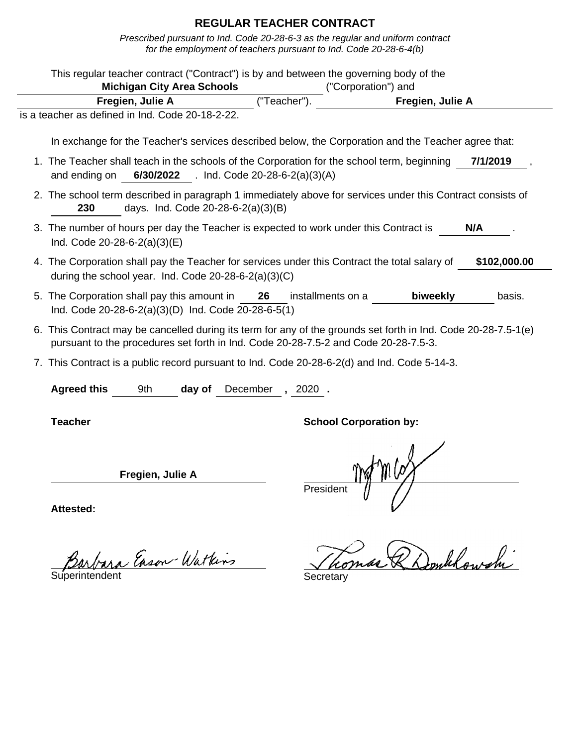|                                |                                                                                                       |          |                   | This regular teacher contract ("Contract") is by and between the governing body of the                         |              |
|--------------------------------|-------------------------------------------------------------------------------------------------------|----------|-------------------|----------------------------------------------------------------------------------------------------------------|--------------|
|                                | <b>Michigan City Area Schools</b>                                                                     |          |                   | ("Corporation") and                                                                                            |              |
|                                | Fregien, Julie A                                                                                      |          | ("Teacher")       | <b>Fregien, Julie A</b>                                                                                        |              |
|                                | is a teacher as defined in Ind. Code 20-18-2-22.                                                      |          |                   |                                                                                                                |              |
|                                |                                                                                                       |          |                   | In exchange for the Teacher's services described below, the Corporation and the Teacher agree that:            |              |
|                                |                                                                                                       |          |                   | 1. The Teacher shall teach in the schools of the Corporation for the school term, beginning                    | 7/1/2019     |
| and ending on                  | 6/30/2022 . Ind. Code 20-28-6-2(a)(3)(A)                                                              |          |                   |                                                                                                                |              |
| 230                            | days. Ind. Code 20-28-6-2(a)(3)(B)                                                                    |          |                   | 2. The school term described in paragraph 1 immediately above for services under this Contract consists of     |              |
| Ind. Code $20-28-6-2(a)(3)(E)$ | 3. The number of hours per day the Teacher is expected to work under this Contract is                 |          |                   |                                                                                                                | N/A          |
|                                | during the school year. Ind. Code $20-28-6-2(a)(3)(C)$                                                |          |                   | 4. The Corporation shall pay the Teacher for services under this Contract the total salary of                  | \$102,000.00 |
|                                | 5. The Corporation shall pay this amount in 26<br>Ind. Code 20-28-6-2(a)(3)(D) Ind. Code 20-28-6-5(1) |          | installments on a | biweekly                                                                                                       | basis.       |
|                                | pursuant to the procedures set forth in Ind. Code 20-28-7.5-2 and Code 20-28-7.5-3.                   |          |                   | 6. This Contract may be cancelled during its term for any of the grounds set forth in Ind. Code 20-28-7.5-1(e) |              |
|                                |                                                                                                       |          |                   | 7. This Contract is a public record pursuant to Ind. Code 20-28-6-2(d) and Ind. Code 5-14-3.                   |              |
| <b>Agreed this</b>             | 9th<br>day of                                                                                         | December | $, 2020$ .        |                                                                                                                |              |
| <b>Teacher</b>                 |                                                                                                       |          |                   | <b>School Corporation by:</b>                                                                                  |              |
|                                | Fregien, Julie A                                                                                      |          | Presiden          |                                                                                                                |              |
| <b>Attested:</b>               |                                                                                                       |          |                   |                                                                                                                |              |

Barbara Enson-Watkins Thomas R Domblowshi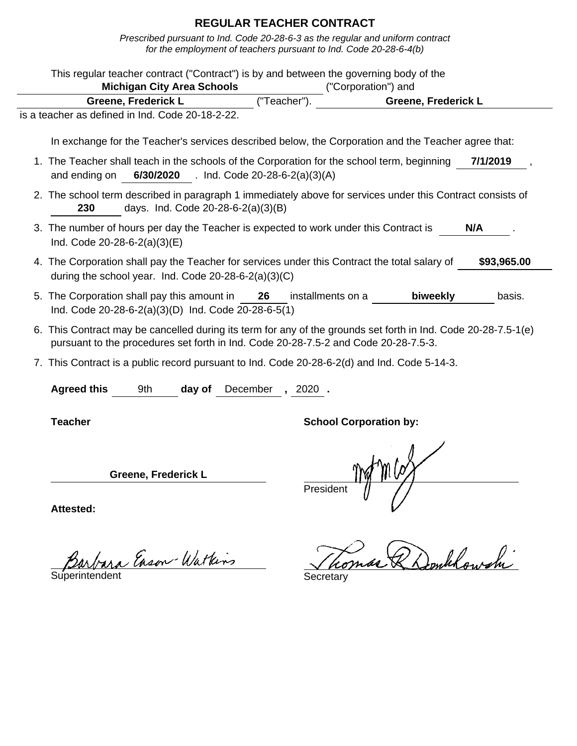Prescribed pursuant to Ind. Code 20-28-6-3 as the regular and uniform contract for the employment of teachers pursuant to Ind. Code 20-28-6-4(b)

| This regular teacher contract ("Contract") is by and between the governing body of the                                                                                                                |                    |                                          |                               |             |
|-------------------------------------------------------------------------------------------------------------------------------------------------------------------------------------------------------|--------------------|------------------------------------------|-------------------------------|-------------|
| <b>Michigan City Area Schools</b>                                                                                                                                                                     |                    |                                          | ("Corporation") and           |             |
| <b>Greene, Frederick L</b>                                                                                                                                                                            |                    | ("Teacher")                              | Greene, Frederick L           |             |
| is a teacher as defined in Ind. Code 20-18-2-22.                                                                                                                                                      |                    |                                          |                               |             |
| In exchange for the Teacher's services described below, the Corporation and the Teacher agree that:                                                                                                   |                    |                                          |                               |             |
| 1. The Teacher shall teach in the schools of the Corporation for the school term, beginning<br>and ending on                                                                                          |                    | 6/30/2020 . Ind. Code 20-28-6-2(a)(3)(A) |                               | 7/1/2019    |
| 2. The school term described in paragraph 1 immediately above for services under this Contract consists of<br>days. Ind. Code 20-28-6-2(a)(3)(B)<br>230                                               |                    |                                          |                               |             |
| 3. The number of hours per day the Teacher is expected to work under this Contract is<br>Ind. Code $20-28-6-2(a)(3)(E)$                                                                               |                    |                                          |                               | N/A         |
| 4. The Corporation shall pay the Teacher for services under this Contract the total salary of<br>during the school year. Ind. Code $20-28-6-2(a)(3)(C)$                                               |                    |                                          |                               | \$93,965.00 |
| 5. The Corporation shall pay this amount in<br>Ind. Code 20-28-6-2(a)(3)(D) Ind. Code 20-28-6-5(1)                                                                                                    |                    | 26<br>installments on a                  | biweekly                      | basis.      |
| 6. This Contract may be cancelled during its term for any of the grounds set forth in Ind. Code 20-28-7.5-1(e)<br>pursuant to the procedures set forth in Ind. Code 20-28-7.5-2 and Code 20-28-7.5-3. |                    |                                          |                               |             |
| 7. This Contract is a public record pursuant to Ind. Code 20-28-6-2(d) and Ind. Code 5-14-3.                                                                                                          |                    |                                          |                               |             |
| <b>Agreed this</b><br>9th                                                                                                                                                                             | December<br>day of | $, 2020$ .                               |                               |             |
| <b>Teacher</b>                                                                                                                                                                                        |                    |                                          | <b>School Corporation by:</b> |             |
| <b>Greene, Frederick L</b>                                                                                                                                                                            |                    | Presiden                                 |                               |             |
| Attested:                                                                                                                                                                                             |                    |                                          |                               |             |

Barbara Enson-Watkins Secretary

Tomas & Donklowshi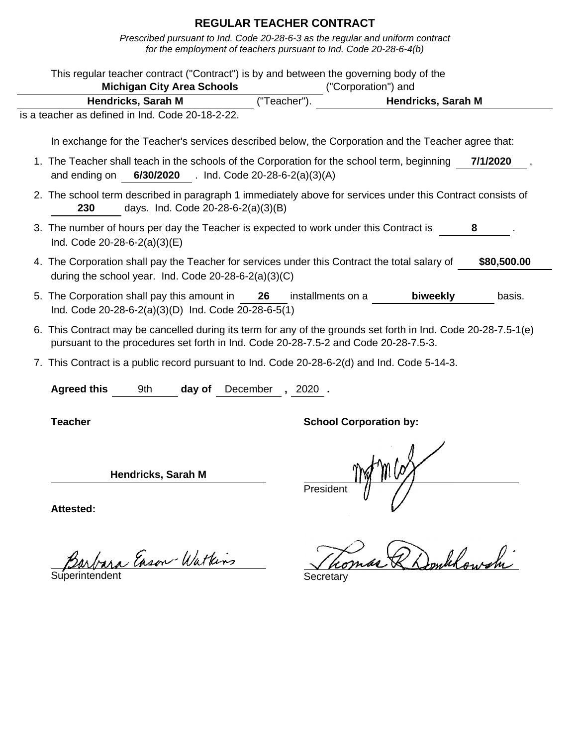Prescribed pursuant to Ind. Code 20-28-6-3 as the regular and uniform contract for the employment of teachers pursuant to Ind. Code 20-28-6-4(b)

| This regular teacher contract ("Contract") is by and between the governing body of the<br><b>Michigan City Area Schools</b>                                                                           |                                          |             | ("Corporation") and           |                    |             |
|-------------------------------------------------------------------------------------------------------------------------------------------------------------------------------------------------------|------------------------------------------|-------------|-------------------------------|--------------------|-------------|
| Hendricks, Sarah M                                                                                                                                                                                    |                                          | ("Teacher") |                               | Hendricks, Sarah M |             |
| is a teacher as defined in Ind. Code 20-18-2-22.                                                                                                                                                      |                                          |             |                               |                    |             |
| In exchange for the Teacher's services described below, the Corporation and the Teacher agree that:                                                                                                   |                                          |             |                               |                    |             |
| 1. The Teacher shall teach in the schools of the Corporation for the school term, beginning<br>and ending on                                                                                          | 6/30/2020 . Ind. Code 20-28-6-2(a)(3)(A) |             |                               |                    | 7/1/2020    |
| 2. The school term described in paragraph 1 immediately above for services under this Contract consists of<br>days. Ind. Code 20-28-6-2(a)(3)(B)<br>230                                               |                                          |             |                               |                    |             |
| 3. The number of hours per day the Teacher is expected to work under this Contract is<br>Ind. Code 20-28-6-2(a)(3)(E)                                                                                 |                                          |             |                               |                    | 8           |
| 4. The Corporation shall pay the Teacher for services under this Contract the total salary of<br>during the school year. Ind. Code 20-28-6-2(a)(3)(C)                                                 |                                          |             |                               |                    | \$80,500.00 |
| 5. The Corporation shall pay this amount in<br>Ind. Code 20-28-6-2(a)(3)(D) Ind. Code 20-28-6-5(1)                                                                                                    |                                          | 26          | installments on a             | biweekly           | basis.      |
| 6. This Contract may be cancelled during its term for any of the grounds set forth in Ind. Code 20-28-7.5-1(e)<br>pursuant to the procedures set forth in Ind. Code 20-28-7.5-2 and Code 20-28-7.5-3. |                                          |             |                               |                    |             |
| 7. This Contract is a public record pursuant to Ind. Code 20-28-6-2(d) and Ind. Code 5-14-3.                                                                                                          |                                          |             |                               |                    |             |
| <b>Agreed this</b><br>9th                                                                                                                                                                             | December<br>day of                       | $, 2020$ .  |                               |                    |             |
| <b>Teacher</b>                                                                                                                                                                                        |                                          |             | <b>School Corporation by:</b> |                    |             |
| Hendricks, Sarah M                                                                                                                                                                                    |                                          |             | Presiden                      |                    |             |
| Attactad.                                                                                                                                                                                             |                                          |             |                               |                    |             |

Barbara Eason-Watkins Thomas R Donklowshi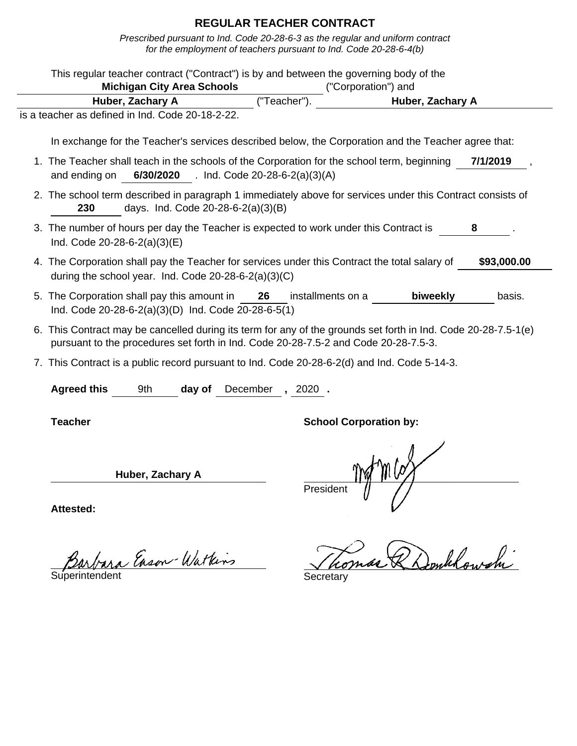Prescribed pursuant to Ind. Code 20-28-6-3 as the regular and uniform contract for the employment of teachers pursuant to Ind. Code 20-28-6-4(b)

|                                                                                                                       | <b>Michigan City Area Schools</b>        |             |                   | This regular teacher contract ("Contract") is by and between the governing body of the<br>("Corporation") and  |             |
|-----------------------------------------------------------------------------------------------------------------------|------------------------------------------|-------------|-------------------|----------------------------------------------------------------------------------------------------------------|-------------|
| Huber, Zachary A                                                                                                      |                                          | ("Teacher") |                   | Huber, Zachary A                                                                                               |             |
| is a teacher as defined in Ind. Code 20-18-2-22.                                                                      |                                          |             |                   |                                                                                                                |             |
|                                                                                                                       |                                          |             |                   | In exchange for the Teacher's services described below, the Corporation and the Teacher agree that:            |             |
| and ending on                                                                                                         | 6/30/2020 . Ind. Code 20-28-6-2(a)(3)(A) |             |                   | 1. The Teacher shall teach in the schools of the Corporation for the school term, beginning                    | 7/1/2019    |
| 230                                                                                                                   | days. Ind. Code 20-28-6-2(a)(3)(B)       |             |                   | 2. The school term described in paragraph 1 immediately above for services under this Contract consists of     |             |
| 3. The number of hours per day the Teacher is expected to work under this Contract is<br>Ind. Code 20-28-6-2(a)(3)(E) |                                          |             |                   |                                                                                                                | 8           |
| during the school year. Ind. Code 20-28-6-2(a)(3)(C)                                                                  |                                          |             |                   | 4. The Corporation shall pay the Teacher for services under this Contract the total salary of                  | \$93,000.00 |
| 5. The Corporation shall pay this amount in<br>Ind. Code 20-28-6-2(a)(3)(D) Ind. Code 20-28-6-5(1)                    |                                          | 26          | installments on a | biweekly                                                                                                       | basis.      |
| pursuant to the procedures set forth in Ind. Code 20-28-7.5-2 and Code 20-28-7.5-3.                                   |                                          |             |                   | 6. This Contract may be cancelled during its term for any of the grounds set forth in Ind. Code 20-28-7.5-1(e) |             |
|                                                                                                                       |                                          |             |                   | 7. This Contract is a public record pursuant to Ind. Code 20-28-6-2(d) and Ind. Code 5-14-3.                   |             |
| <b>Agreed this</b><br>9th                                                                                             | day of                                   | December    | $, 2020$ .        |                                                                                                                |             |
| <b>Teacher</b>                                                                                                        |                                          |             |                   | <b>School Corporation by:</b>                                                                                  |             |
|                                                                                                                       | Huber, Zachary A                         |             | Presiden          |                                                                                                                |             |
| <b>Attested:</b>                                                                                                      |                                          |             |                   |                                                                                                                |             |

Barbara Eason Watkins Thomas R Domblowshi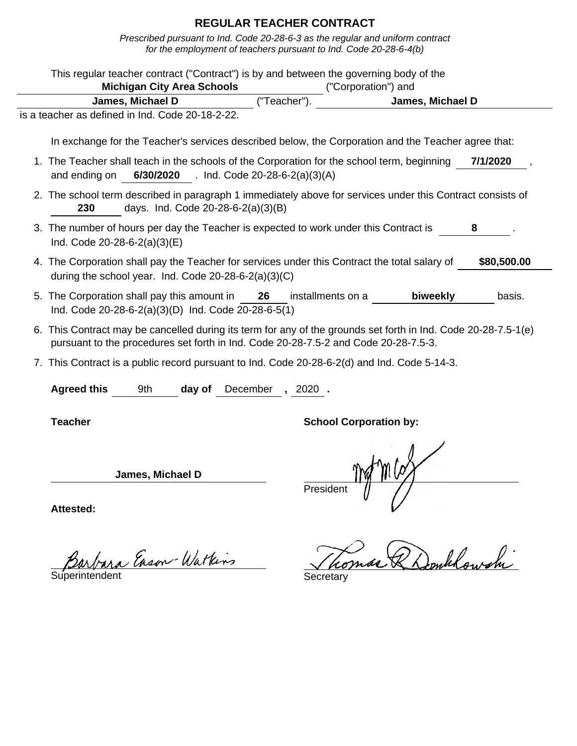Prescribed pursuant to Ind. Code 20-28-6-3 as the regular and uniform contract for the employment of teachers pursuant to Ind. Code 20-28-6-4(b)

| This regular teacher contract ("Contract") is by and between the governing body of the                                                                                                                |                                          |             |                   |                                                                                                     |             |
|-------------------------------------------------------------------------------------------------------------------------------------------------------------------------------------------------------|------------------------------------------|-------------|-------------------|-----------------------------------------------------------------------------------------------------|-------------|
|                                                                                                                                                                                                       | <b>Michigan City Area Schools</b>        |             |                   | ("Corporation") and                                                                                 |             |
| James, Michael D                                                                                                                                                                                      |                                          | ("Teacher") |                   | James, Michael D                                                                                    |             |
| is a teacher as defined in Ind. Code 20-18-2-22.                                                                                                                                                      |                                          |             |                   |                                                                                                     |             |
|                                                                                                                                                                                                       |                                          |             |                   | In exchange for the Teacher's services described below, the Corporation and the Teacher agree that: |             |
| 1. The Teacher shall teach in the schools of the Corporation for the school term, beginning<br>and ending on                                                                                          | 6/30/2020 . Ind. Code 20-28-6-2(a)(3)(A) |             |                   |                                                                                                     | 7/1/2020    |
| 2. The school term described in paragraph 1 immediately above for services under this Contract consists of<br>230                                                                                     | days. Ind. Code 20-28-6-2(a)(3)(B)       |             |                   |                                                                                                     |             |
| 3. The number of hours per day the Teacher is expected to work under this Contract is<br>Ind. Code 20-28-6-2(a)(3)(E)                                                                                 |                                          |             |                   |                                                                                                     | 8           |
| 4. The Corporation shall pay the Teacher for services under this Contract the total salary of<br>during the school year. Ind. Code 20-28-6-2(a)(3)(C)                                                 |                                          |             |                   |                                                                                                     | \$80,500.00 |
| 5. The Corporation shall pay this amount in 26<br>Ind. Code 20-28-6-2(a)(3)(D) Ind. Code 20-28-6-5(1)                                                                                                 |                                          |             | installments on a | biweekly                                                                                            | basis.      |
| 6. This Contract may be cancelled during its term for any of the grounds set forth in Ind. Code 20-28-7.5-1(e)<br>pursuant to the procedures set forth in Ind. Code 20-28-7.5-2 and Code 20-28-7.5-3. |                                          |             |                   |                                                                                                     |             |
| 7. This Contract is a public record pursuant to Ind. Code 20-28-6-2(d) and Ind. Code 5-14-3.                                                                                                          |                                          |             |                   |                                                                                                     |             |
| <b>Agreed this</b><br>9th                                                                                                                                                                             | day of                                   | December    | , 2020.           |                                                                                                     |             |
| <b>Teacher</b>                                                                                                                                                                                        |                                          |             |                   | <b>School Corporation by:</b>                                                                       |             |
|                                                                                                                                                                                                       | James, Michael D                         |             | President         |                                                                                                     |             |
| Attested:                                                                                                                                                                                             |                                          |             |                   |                                                                                                     |             |

Tomas & Donklowshi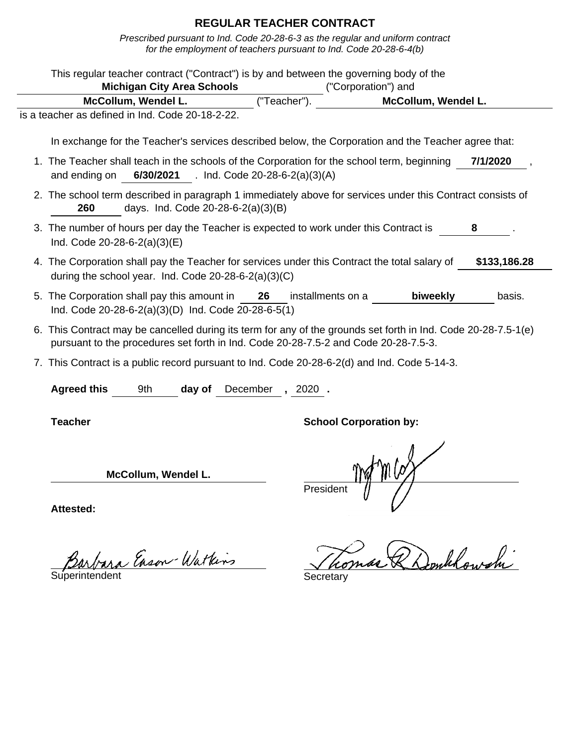Prescribed pursuant to Ind. Code 20-28-6-3 as the regular and uniform contract for the employment of teachers pursuant to Ind. Code 20-28-6-4(b)

| <b>Michigan City Area Schools</b>                                                                                                                                                                     |                                          | This regular teacher contract ("Contract") is by and between the governing body of the<br>("Corporation") and |              |
|-------------------------------------------------------------------------------------------------------------------------------------------------------------------------------------------------------|------------------------------------------|---------------------------------------------------------------------------------------------------------------|--------------|
| McCollum, Wendel L.                                                                                                                                                                                   | ("Teacher").                             | McCollum, Wendel L.                                                                                           |              |
| is a teacher as defined in Ind. Code 20-18-2-22.                                                                                                                                                      |                                          |                                                                                                               |              |
|                                                                                                                                                                                                       |                                          |                                                                                                               |              |
| In exchange for the Teacher's services described below, the Corporation and the Teacher agree that:                                                                                                   |                                          |                                                                                                               |              |
| 1. The Teacher shall teach in the schools of the Corporation for the school term, beginning<br>and ending on                                                                                          | 6/30/2021 . Ind. Code 20-28-6-2(a)(3)(A) |                                                                                                               | 7/1/2020     |
| 2. The school term described in paragraph 1 immediately above for services under this Contract consists of<br>days. Ind. Code 20-28-6-2(a)(3)(B)<br>260                                               |                                          |                                                                                                               |              |
| 3. The number of hours per day the Teacher is expected to work under this Contract is<br>Ind. Code 20-28-6-2(a)(3)(E)                                                                                 |                                          |                                                                                                               | 8            |
| 4. The Corporation shall pay the Teacher for services under this Contract the total salary of<br>during the school year. Ind. Code 20-28-6-2(a)(3)(C)                                                 |                                          |                                                                                                               | \$133,186.28 |
| 5. The Corporation shall pay this amount in 26<br>Ind. Code 20-28-6-2(a)(3)(D) Ind. Code 20-28-6-5(1)                                                                                                 | installments on a                        | biweekly                                                                                                      | basis.       |
| 6. This Contract may be cancelled during its term for any of the grounds set forth in Ind. Code 20-28-7.5-1(e)<br>pursuant to the procedures set forth in Ind. Code 20-28-7.5-2 and Code 20-28-7.5-3. |                                          |                                                                                                               |              |
| 7. This Contract is a public record pursuant to Ind. Code 20-28-6-2(d) and Ind. Code 5-14-3.                                                                                                          |                                          |                                                                                                               |              |
| <b>Agreed this</b><br>9th<br>day of                                                                                                                                                                   | December<br>,2020 .                      |                                                                                                               |              |
| <b>Teacher</b>                                                                                                                                                                                        |                                          | <b>School Corporation by:</b>                                                                                 |              |
| McCollum, Wendel L.                                                                                                                                                                                   | Presiden                                 |                                                                                                               |              |
| Attested:                                                                                                                                                                                             |                                          |                                                                                                               |              |

Tomas & Donklowshi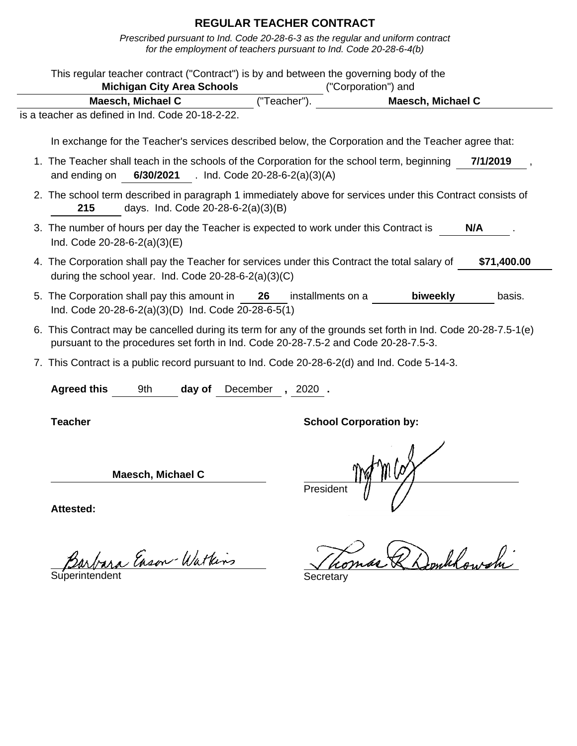Prescribed pursuant to Ind. Code 20-28-6-3 as the regular and uniform contract for the employment of teachers pursuant to Ind. Code 20-28-6-4(b)

| This regular teacher contract ("Contract") is by and between the governing body of the                                                                                                                | <b>Michigan City Area Schools</b>        |                     | ("Corporation") and           |                   |             |
|-------------------------------------------------------------------------------------------------------------------------------------------------------------------------------------------------------|------------------------------------------|---------------------|-------------------------------|-------------------|-------------|
| Maesch, Michael C                                                                                                                                                                                     |                                          | ("Teacher")         |                               | Maesch, Michael C |             |
| is a teacher as defined in Ind. Code 20-18-2-22.                                                                                                                                                      |                                          |                     |                               |                   |             |
| In exchange for the Teacher's services described below, the Corporation and the Teacher agree that:                                                                                                   |                                          |                     |                               |                   |             |
| 1. The Teacher shall teach in the schools of the Corporation for the school term, beginning<br>and ending on                                                                                          | 6/30/2021 . Ind. Code 20-28-6-2(a)(3)(A) |                     |                               |                   | 7/1/2019    |
| 2. The school term described in paragraph 1 immediately above for services under this Contract consists of<br>215                                                                                     | days. Ind. Code 20-28-6-2(a)(3)(B)       |                     |                               |                   |             |
| 3. The number of hours per day the Teacher is expected to work under this Contract is<br>Ind. Code $20-28-6-2(a)(3)(E)$                                                                               |                                          |                     |                               |                   | N/A         |
| 4. The Corporation shall pay the Teacher for services under this Contract the total salary of<br>during the school year. Ind. Code 20-28-6-2(a)(3)(C)                                                 |                                          |                     |                               |                   | \$71,400.00 |
| 5. The Corporation shall pay this amount in<br>Ind. Code 20-28-6-2(a)(3)(D) Ind. Code 20-28-6-5(1)                                                                                                    |                                          | 26                  | installments on a             | biweekly          | basis.      |
| 6. This Contract may be cancelled during its term for any of the grounds set forth in Ind. Code 20-28-7.5-1(e)<br>pursuant to the procedures set forth in Ind. Code 20-28-7.5-2 and Code 20-28-7.5-3. |                                          |                     |                               |                   |             |
| 7. This Contract is a public record pursuant to Ind. Code 20-28-6-2(d) and Ind. Code 5-14-3.                                                                                                          |                                          |                     |                               |                   |             |
| <b>Agreed this</b><br>9th                                                                                                                                                                             | day of                                   | December<br>, 2020. |                               |                   |             |
| <b>Teacher</b>                                                                                                                                                                                        |                                          |                     | <b>School Corporation by:</b> |                   |             |
| <b>Maesch, Michael C</b>                                                                                                                                                                              |                                          |                     | Presiden                      |                   |             |
| <b>Attested:</b>                                                                                                                                                                                      |                                          |                     |                               |                   |             |

Barbara Enson-Watkins Jho.

Tomas & Donklowshi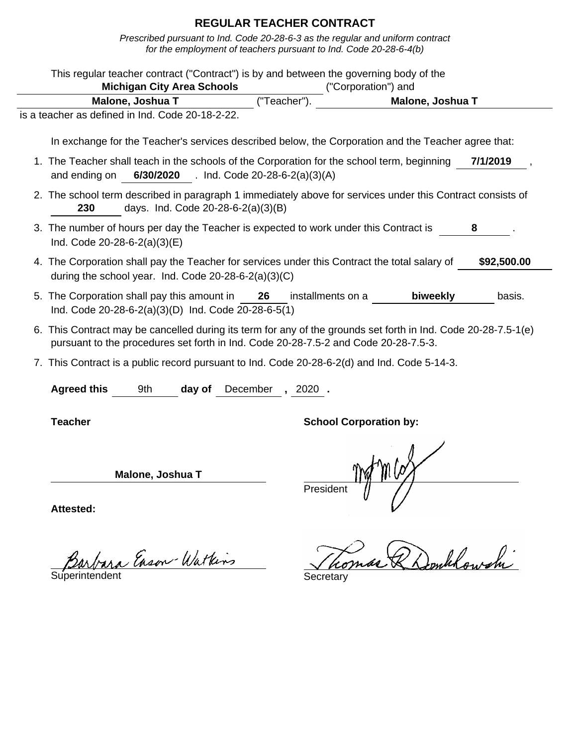Prescribed pursuant to Ind. Code 20-28-6-3 as the regular and uniform contract for the employment of teachers pursuant to Ind. Code 20-28-6-4(b)

| This regular teacher contract ("Contract") is by and between the governing body of the                                                                                                                |                                          |                   |                               |             |
|-------------------------------------------------------------------------------------------------------------------------------------------------------------------------------------------------------|------------------------------------------|-------------------|-------------------------------|-------------|
| <b>Michigan City Area Schools</b>                                                                                                                                                                     |                                          |                   | ("Corporation") and           |             |
| Malone, Joshua T                                                                                                                                                                                      |                                          | ("Teacher")       | Malone, Joshua T              |             |
| is a teacher as defined in Ind. Code 20-18-2-22.                                                                                                                                                      |                                          |                   |                               |             |
| In exchange for the Teacher's services described below, the Corporation and the Teacher agree that:                                                                                                   |                                          |                   |                               |             |
| 1. The Teacher shall teach in the schools of the Corporation for the school term, beginning<br>and ending on                                                                                          | 6/30/2020 . Ind. Code 20-28-6-2(a)(3)(A) |                   |                               | 7/1/2019    |
| 2. The school term described in paragraph 1 immediately above for services under this Contract consists of<br>230                                                                                     | days. Ind. Code 20-28-6-2(a)(3)(B)       |                   |                               |             |
| 3. The number of hours per day the Teacher is expected to work under this Contract is<br>Ind. Code $20-28-6-2(a)(3)(E)$                                                                               |                                          |                   |                               | 8           |
| 4. The Corporation shall pay the Teacher for services under this Contract the total salary of<br>during the school year. Ind. Code $20-28-6-2(a)(3)(C)$                                               |                                          |                   |                               | \$92,500.00 |
| 5. The Corporation shall pay this amount in<br>Ind. Code 20-28-6-2(a)(3)(D) Ind. Code 20-28-6-5(1)                                                                                                    | 26                                       | installments on a | biweekly                      | basis.      |
| 6. This Contract may be cancelled during its term for any of the grounds set forth in Ind. Code 20-28-7.5-1(e)<br>pursuant to the procedures set forth in Ind. Code 20-28-7.5-2 and Code 20-28-7.5-3. |                                          |                   |                               |             |
| 7. This Contract is a public record pursuant to Ind. Code 20-28-6-2(d) and Ind. Code 5-14-3.                                                                                                          |                                          |                   |                               |             |
| <b>Agreed this</b><br>9th                                                                                                                                                                             | December<br>day of                       | , 2020.           |                               |             |
| <b>Teacher</b>                                                                                                                                                                                        |                                          |                   | <b>School Corporation by:</b> |             |
| Malone, Joshua T                                                                                                                                                                                      |                                          | Presiden          |                               |             |
| <b>Attested:</b>                                                                                                                                                                                      |                                          |                   |                               |             |

Barbara Eason Watkins Thomas R Domblowshi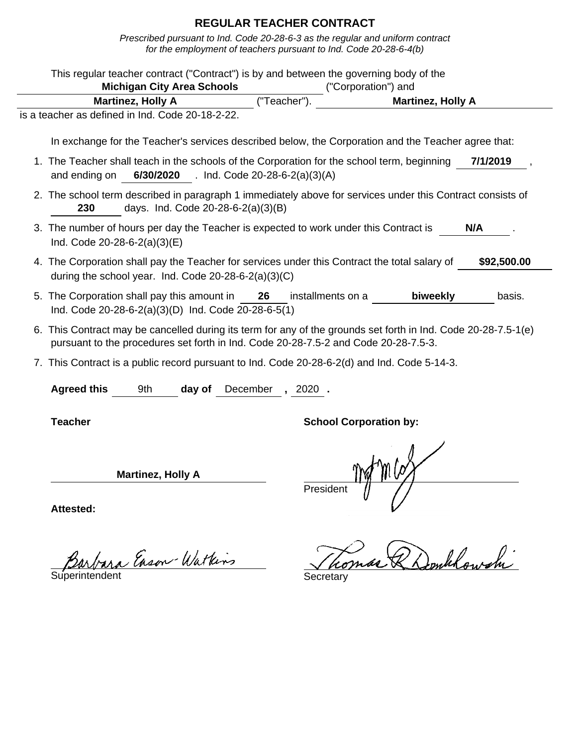Prescribed pursuant to Ind. Code 20-28-6-3 as the regular and uniform contract for the employment of teachers pursuant to Ind. Code 20-28-6-4(b)

|                                                                                                                         | <b>Michigan City Area Schools</b>        |          |                   | This regular teacher contract ("Contract") is by and between the governing body of the<br>("Corporation") and                                                                                         |             |
|-------------------------------------------------------------------------------------------------------------------------|------------------------------------------|----------|-------------------|-------------------------------------------------------------------------------------------------------------------------------------------------------------------------------------------------------|-------------|
| <b>Martinez, Holly A</b>                                                                                                |                                          |          | ("Teacher")       | <b>Martinez, Holly A</b>                                                                                                                                                                              |             |
| is a teacher as defined in Ind. Code 20-18-2-22.                                                                        |                                          |          |                   |                                                                                                                                                                                                       |             |
|                                                                                                                         |                                          |          |                   | In exchange for the Teacher's services described below, the Corporation and the Teacher agree that:                                                                                                   |             |
| and ending on                                                                                                           | 6/30/2020 . Ind. Code 20-28-6-2(a)(3)(A) |          |                   | 1. The Teacher shall teach in the schools of the Corporation for the school term, beginning                                                                                                           | 7/1/2019    |
| 230                                                                                                                     | days. Ind. Code 20-28-6-2(a)(3)(B)       |          |                   | 2. The school term described in paragraph 1 immediately above for services under this Contract consists of                                                                                            |             |
| 3. The number of hours per day the Teacher is expected to work under this Contract is<br>Ind. Code $20-28-6-2(a)(3)(E)$ |                                          |          |                   |                                                                                                                                                                                                       | N/A         |
| during the school year. Ind. Code 20-28-6-2(a)(3)(C)                                                                    |                                          |          |                   | 4. The Corporation shall pay the Teacher for services under this Contract the total salary of                                                                                                         | \$92,500.00 |
| 5. The Corporation shall pay this amount in<br>Ind. Code 20-28-6-2(a)(3)(D) Ind. Code 20-28-6-5(1)                      |                                          | 26       | installments on a | biweekly                                                                                                                                                                                              | basis.      |
|                                                                                                                         |                                          |          |                   | 6. This Contract may be cancelled during its term for any of the grounds set forth in Ind. Code 20-28-7.5-1(e)<br>pursuant to the procedures set forth in Ind. Code 20-28-7.5-2 and Code 20-28-7.5-3. |             |
|                                                                                                                         |                                          |          |                   | 7. This Contract is a public record pursuant to Ind. Code 20-28-6-2(d) and Ind. Code 5-14-3.                                                                                                          |             |
| <b>Agreed this</b>                                                                                                      | 9th<br>day of                            | December | $, 2020$ .        |                                                                                                                                                                                                       |             |
| <b>Teacher</b>                                                                                                          |                                          |          |                   | <b>School Corporation by:</b>                                                                                                                                                                         |             |
|                                                                                                                         | <b>Martinez, Holly A</b>                 |          | Presiden          |                                                                                                                                                                                                       |             |
|                                                                                                                         |                                          |          |                   |                                                                                                                                                                                                       |             |

Barbara Enson-Watkins Jho.

Tomas & Donklowshi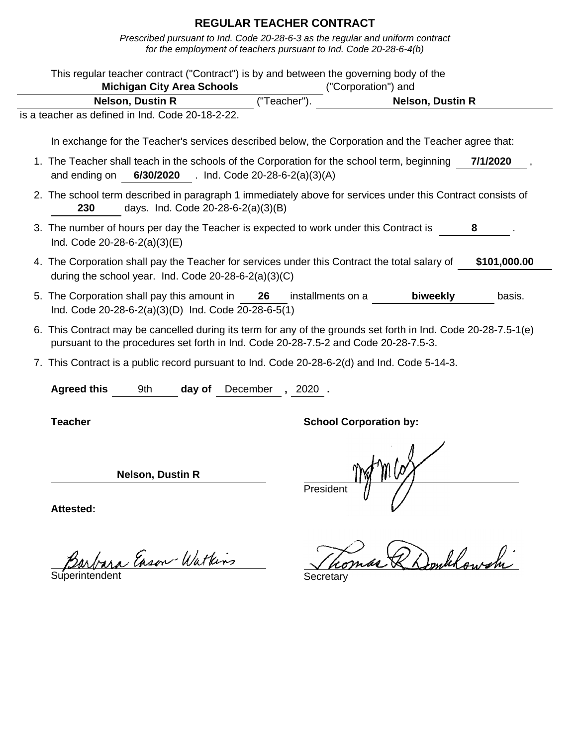|                  | This regular teacher contract ("Contract") is by and between the governing body of the                                                                                                                |                                   |        |                                          |                   |                               |                                                                                                     |              |
|------------------|-------------------------------------------------------------------------------------------------------------------------------------------------------------------------------------------------------|-----------------------------------|--------|------------------------------------------|-------------------|-------------------------------|-----------------------------------------------------------------------------------------------------|--------------|
|                  |                                                                                                                                                                                                       | <b>Michigan City Area Schools</b> |        |                                          |                   | ("Corporation") and           |                                                                                                     |              |
|                  |                                                                                                                                                                                                       | <b>Nelson, Dustin R</b>           |        | ("Teacher")                              |                   |                               | <b>Nelson, Dustin R</b>                                                                             |              |
|                  | is a teacher as defined in Ind. Code 20-18-2-22.                                                                                                                                                      |                                   |        |                                          |                   |                               |                                                                                                     |              |
|                  |                                                                                                                                                                                                       |                                   |        |                                          |                   |                               | In exchange for the Teacher's services described below, the Corporation and the Teacher agree that: |              |
|                  | 1. The Teacher shall teach in the schools of the Corporation for the school term, beginning<br>and ending on                                                                                          |                                   |        | 6/30/2020 . Ind. Code 20-28-6-2(a)(3)(A) |                   |                               |                                                                                                     | 7/1/2020     |
|                  | 2. The school term described in paragraph 1 immediately above for services under this Contract consists of<br>230                                                                                     |                                   |        | days. Ind. Code 20-28-6-2(a)(3)(B)       |                   |                               |                                                                                                     |              |
|                  | 3. The number of hours per day the Teacher is expected to work under this Contract is<br>Ind. Code 20-28-6-2(a)(3)(E)                                                                                 |                                   |        |                                          |                   |                               |                                                                                                     | 8            |
|                  | 4. The Corporation shall pay the Teacher for services under this Contract the total salary of<br>during the school year. Ind. Code $20-28-6-2(a)(3)(C)$                                               |                                   |        |                                          |                   |                               |                                                                                                     | \$101,000.00 |
|                  | 5. The Corporation shall pay this amount in<br>Ind. Code 20-28-6-2(a)(3)(D) Ind. Code 20-28-6-5(1)                                                                                                    |                                   |        | 26                                       | installments on a |                               | biweekly                                                                                            | basis.       |
|                  | 6. This Contract may be cancelled during its term for any of the grounds set forth in Ind. Code 20-28-7.5-1(e)<br>pursuant to the procedures set forth in Ind. Code 20-28-7.5-2 and Code 20-28-7.5-3. |                                   |        |                                          |                   |                               |                                                                                                     |              |
|                  | 7. This Contract is a public record pursuant to Ind. Code 20-28-6-2(d) and Ind. Code 5-14-3.                                                                                                          |                                   |        |                                          |                   |                               |                                                                                                     |              |
|                  | <b>Agreed this</b>                                                                                                                                                                                    | 9th                               | day of | December, 2020.                          |                   |                               |                                                                                                     |              |
|                  | <b>Teacher</b>                                                                                                                                                                                        |                                   |        |                                          |                   | <b>School Corporation by:</b> |                                                                                                     |              |
|                  |                                                                                                                                                                                                       | <b>Nelson, Dustin R</b>           |        |                                          | Presiden          |                               |                                                                                                     |              |
| <b>Attested:</b> |                                                                                                                                                                                                       |                                   |        |                                          |                   |                               |                                                                                                     |              |

Barbara Enson-Watkins Thomas R Domblowshi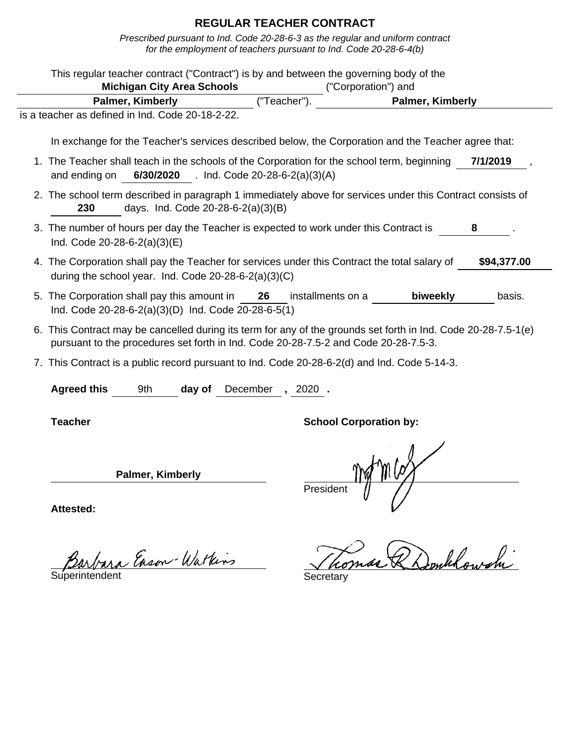| This regular teacher contract ("Contract") is by and between the governing body of the<br><b>Michigan City Area Schools</b>                                                                           |          | ("Corporation") and           |                  |             |
|-------------------------------------------------------------------------------------------------------------------------------------------------------------------------------------------------------|----------|-------------------------------|------------------|-------------|
| Palmer, Kimberly                                                                                                                                                                                      |          | ("Teacher").                  | Palmer, Kimberly |             |
| is a teacher as defined in Ind. Code 20-18-2-22.                                                                                                                                                      |          |                               |                  |             |
| In exchange for the Teacher's services described below, the Corporation and the Teacher agree that:                                                                                                   |          |                               |                  |             |
| 1. The Teacher shall teach in the schools of the Corporation for the school term, beginning<br>6/30/2020 . Ind. Code 20-28-6-2(a)(3)(A)<br>and ending on                                              |          |                               |                  | 7/1/2019    |
| 2. The school term described in paragraph 1 immediately above for services under this Contract consists of<br>days. Ind. Code 20-28-6-2(a)(3)(B)<br>230                                               |          |                               |                  |             |
| 3. The number of hours per day the Teacher is expected to work under this Contract is<br>Ind. Code $20-28-6-2(a)(3)(E)$                                                                               |          |                               |                  |             |
| 4. The Corporation shall pay the Teacher for services under this Contract the total salary of<br>during the school year. Ind. Code 20-28-6-2(a)(3)(C)                                                 |          |                               |                  | \$94,377.00 |
| 5. The Corporation shall pay this amount in<br>Ind. Code 20-28-6-2(a)(3)(D) Ind. Code 20-28-6-5(1)                                                                                                    | 26       | installments on a             | biweekly         | basis.      |
| 6. This Contract may be cancelled during its term for any of the grounds set forth in Ind. Code 20-28-7.5-1(e)<br>pursuant to the procedures set forth in Ind. Code 20-28-7.5-2 and Code 20-28-7.5-3. |          |                               |                  |             |
| 7. This Contract is a public record pursuant to Ind. Code 20-28-6-2(d) and Ind. Code 5-14-3.                                                                                                          |          |                               |                  |             |
| <b>Agreed this</b><br>9th<br>day of                                                                                                                                                                   | December | $, 2020$ .                    |                  |             |
| <b>Teacher</b>                                                                                                                                                                                        |          | <b>School Corporation by:</b> |                  |             |
| Palmer, Kimberly                                                                                                                                                                                      |          |                               |                  |             |
| Attested:                                                                                                                                                                                             |          | President                     |                  |             |

Barbara Enson-Watkins Thomas R Donklowshi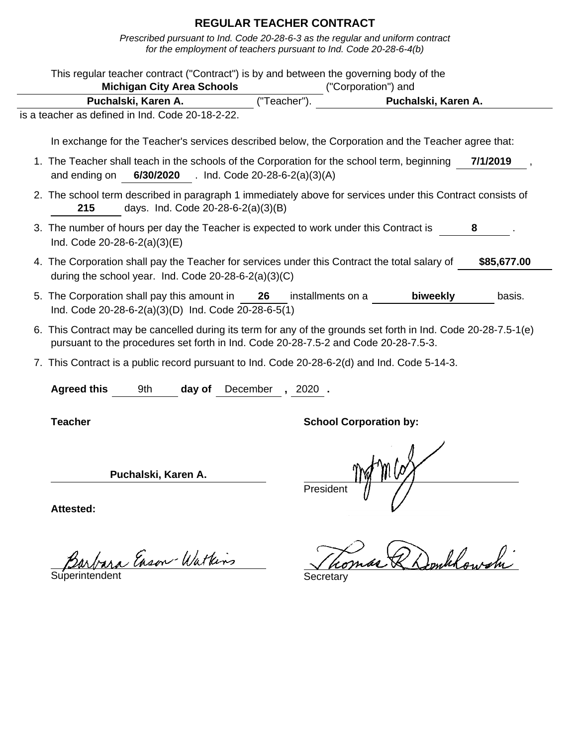Prescribed pursuant to Ind. Code 20-28-6-3 as the regular and uniform contract for the employment of teachers pursuant to Ind. Code 20-28-6-4(b)

| This regular teacher contract ("Contract") is by and between the governing body of the<br><b>Michigan City Area Schools</b>                                                                           |                                          |             | ("Corporation") and           |                     |
|-------------------------------------------------------------------------------------------------------------------------------------------------------------------------------------------------------|------------------------------------------|-------------|-------------------------------|---------------------|
| Puchalski, Karen A.                                                                                                                                                                                   |                                          | ("Teacher") |                               | Puchalski, Karen A. |
| is a teacher as defined in Ind. Code 20-18-2-22.                                                                                                                                                      |                                          |             |                               |                     |
| In exchange for the Teacher's services described below, the Corporation and the Teacher agree that:                                                                                                   |                                          |             |                               |                     |
| 1. The Teacher shall teach in the schools of the Corporation for the school term, beginning<br>and ending on                                                                                          | 6/30/2020 . Ind. Code 20-28-6-2(a)(3)(A) |             |                               | 7/1/2019            |
| 2. The school term described in paragraph 1 immediately above for services under this Contract consists of<br>215                                                                                     | days. Ind. Code 20-28-6-2(a)(3)(B)       |             |                               |                     |
| 3. The number of hours per day the Teacher is expected to work under this Contract is<br>Ind. Code $20-28-6-2(a)(3)(E)$                                                                               |                                          |             |                               | 8                   |
| 4. The Corporation shall pay the Teacher for services under this Contract the total salary of<br>during the school year. Ind. Code 20-28-6-2(a)(3)(C)                                                 |                                          |             |                               | \$85,677.00         |
| 5. The Corporation shall pay this amount in 26<br>Ind. Code 20-28-6-2(a)(3)(D) Ind. Code 20-28-6-5(1)                                                                                                 |                                          |             | biweekly<br>installments on a | basis.              |
| 6. This Contract may be cancelled during its term for any of the grounds set forth in Ind. Code 20-28-7.5-1(e)<br>pursuant to the procedures set forth in Ind. Code 20-28-7.5-2 and Code 20-28-7.5-3. |                                          |             |                               |                     |
| 7. This Contract is a public record pursuant to Ind. Code 20-28-6-2(d) and Ind. Code 5-14-3.                                                                                                          |                                          |             |                               |                     |
| <b>Agreed this</b><br>9th                                                                                                                                                                             | December<br>day of                       | $, 2020$ .  |                               |                     |
| <b>Teacher</b>                                                                                                                                                                                        |                                          |             | <b>School Corporation by:</b> |                     |
| Puchalski, Karen A.                                                                                                                                                                                   |                                          | Presiden    |                               |                     |
| : Attested                                                                                                                                                                                            |                                          |             |                               |                     |

Barbara Enson-Watkins Secretary

Tomas & Donklowshi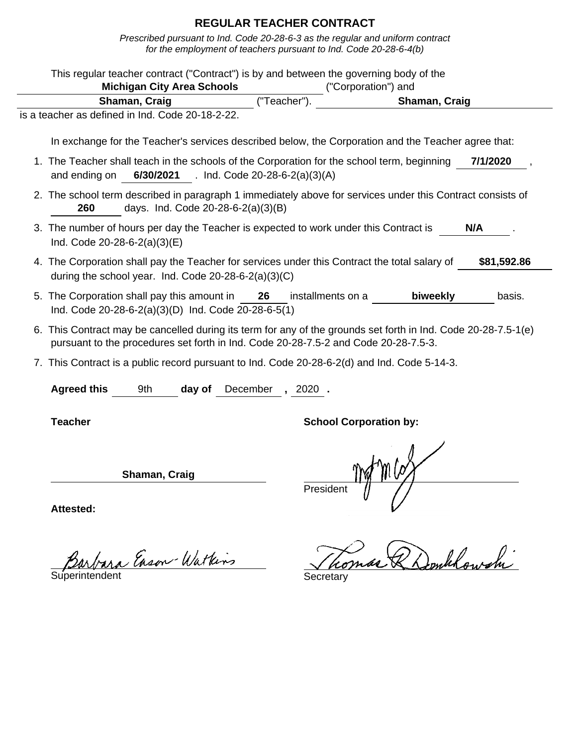Prescribed pursuant to Ind. Code 20-28-6-3 as the regular and uniform contract for the employment of teachers pursuant to Ind. Code 20-28-6-4(b)

| This regular teacher contract ("Contract") is by and between the governing body of the                                                                                                                | <b>Michigan City Area Schools</b> |        |                                          |             | ("Corporation") and           |                                                                                                     |             |
|-------------------------------------------------------------------------------------------------------------------------------------------------------------------------------------------------------|-----------------------------------|--------|------------------------------------------|-------------|-------------------------------|-----------------------------------------------------------------------------------------------------|-------------|
|                                                                                                                                                                                                       | Shaman, Craig                     |        |                                          | ("Teacher") |                               | Shaman, Craig                                                                                       |             |
| is a teacher as defined in Ind. Code 20-18-2-22.                                                                                                                                                      |                                   |        |                                          |             |                               |                                                                                                     |             |
|                                                                                                                                                                                                       |                                   |        |                                          |             |                               | In exchange for the Teacher's services described below, the Corporation and the Teacher agree that: |             |
| 1. The Teacher shall teach in the schools of the Corporation for the school term, beginning<br>and ending on                                                                                          |                                   |        | 6/30/2021 . Ind. Code 20-28-6-2(a)(3)(A) |             |                               |                                                                                                     | 7/1/2020    |
| 2. The school term described in paragraph 1 immediately above for services under this Contract consists of<br>260                                                                                     |                                   |        | days. Ind. Code 20-28-6-2(a)(3)(B)       |             |                               |                                                                                                     |             |
| 3. The number of hours per day the Teacher is expected to work under this Contract is<br>Ind. Code $20-28-6-2(a)(3)(E)$                                                                               |                                   |        |                                          |             |                               |                                                                                                     | N/A         |
| 4. The Corporation shall pay the Teacher for services under this Contract the total salary of<br>during the school year. Ind. Code 20-28-6-2(a)(3)(C)                                                 |                                   |        |                                          |             |                               |                                                                                                     | \$81,592.86 |
| 5. The Corporation shall pay this amount in 26<br>Ind. Code 20-28-6-2(a)(3)(D) Ind. Code 20-28-6-5(1)                                                                                                 |                                   |        |                                          |             | installments on a             | biweekly                                                                                            | basis.      |
| 6. This Contract may be cancelled during its term for any of the grounds set forth in Ind. Code 20-28-7.5-1(e)<br>pursuant to the procedures set forth in Ind. Code 20-28-7.5-2 and Code 20-28-7.5-3. |                                   |        |                                          |             |                               |                                                                                                     |             |
| 7. This Contract is a public record pursuant to Ind. Code 20-28-6-2(d) and Ind. Code 5-14-3.                                                                                                          |                                   |        |                                          |             |                               |                                                                                                     |             |
| <b>Agreed this</b>                                                                                                                                                                                    | 9th                               | day of | December                                 | $, 2020$ .  |                               |                                                                                                     |             |
| <b>Teacher</b>                                                                                                                                                                                        |                                   |        |                                          |             | <b>School Corporation by:</b> |                                                                                                     |             |
|                                                                                                                                                                                                       | Shaman, Craig                     |        |                                          | President   |                               |                                                                                                     |             |
| <b>Attested:</b>                                                                                                                                                                                      |                                   |        |                                          |             |                               |                                                                                                     |             |

Tomas & Donklowshi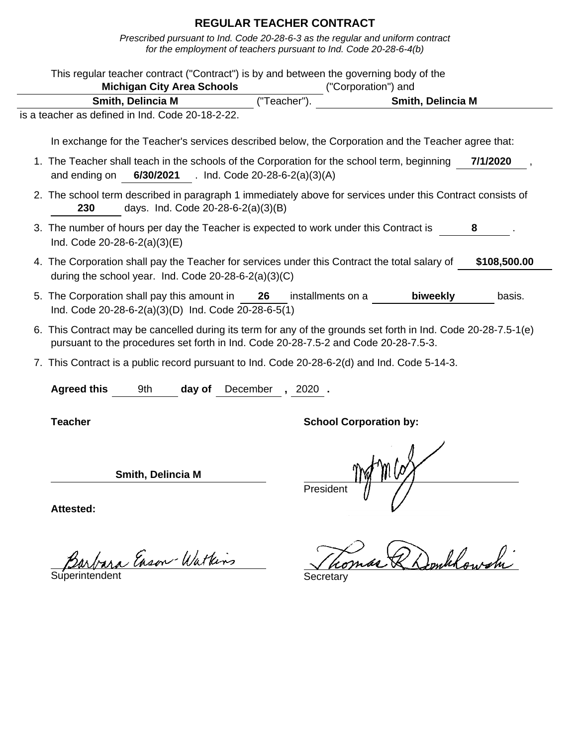|                                                                                                                         |                                    | This regular teacher contract ("Contract") is by and between the governing body of the<br>Michigan City Area Schools ("Corporation") and |                                                                                                                |          |
|-------------------------------------------------------------------------------------------------------------------------|------------------------------------|------------------------------------------------------------------------------------------------------------------------------------------|----------------------------------------------------------------------------------------------------------------|----------|
| Smith, Delincia M                                                                                                       |                                    | ("Teacher").                                                                                                                             | Smith, Delincia M                                                                                              |          |
| is a teacher as defined in Ind. Code 20-18-2-22.                                                                        |                                    |                                                                                                                                          |                                                                                                                |          |
|                                                                                                                         |                                    |                                                                                                                                          |                                                                                                                |          |
|                                                                                                                         |                                    |                                                                                                                                          | In exchange for the Teacher's services described below, the Corporation and the Teacher agree that:            |          |
| and ending on $6/30/2021$ . Ind. Code 20-28-6-2(a)(3)(A)                                                                |                                    |                                                                                                                                          | 1. The Teacher shall teach in the schools of the Corporation for the school term, beginning                    | 7/1/2020 |
| 2. The school term described in paragraph 1 immediately above for services under this Contract consists of<br>230       | days. Ind. Code 20-28-6-2(a)(3)(B) |                                                                                                                                          |                                                                                                                |          |
| 3. The number of hours per day the Teacher is expected to work under this Contract is<br>Ind. Code $20-28-6-2(a)(3)(E)$ |                                    |                                                                                                                                          |                                                                                                                |          |
| during the school year. Ind. Code 20-28-6-2(a)(3)(C)                                                                    |                                    |                                                                                                                                          | 4. The Corporation shall pay the Teacher for services under this Contract the total salary of \$108,500.00     |          |
| 5. The Corporation shall pay this amount in 26                                                                          |                                    |                                                                                                                                          | installments on a <b>biweekly</b>                                                                              | basis.   |
| Ind. Code 20-28-6-2(a)(3)(D) Ind. Code 20-28-6-5(1)                                                                     |                                    |                                                                                                                                          |                                                                                                                |          |
|                                                                                                                         |                                    | pursuant to the procedures set forth in Ind. Code 20-28-7.5-2 and Code 20-28-7.5-3.                                                      | 6. This Contract may be cancelled during its term for any of the grounds set forth in Ind. Code 20-28-7.5-1(e) |          |
| 7. This Contract is a public record pursuant to Ind. Code 20-28-6-2(d) and Ind. Code 5-14-3.                            |                                    |                                                                                                                                          |                                                                                                                |          |
| <b>Agreed this</b><br>9th                                                                                               | day of                             | December, 2020.                                                                                                                          |                                                                                                                |          |
| <b>Teacher</b>                                                                                                          |                                    |                                                                                                                                          | <b>School Corporation by:</b>                                                                                  |          |
|                                                                                                                         | <b>Smith, Delincia M</b>           | President                                                                                                                                | mes                                                                                                            |          |

Barbara Enson-Watkins Thomas R Domblowshi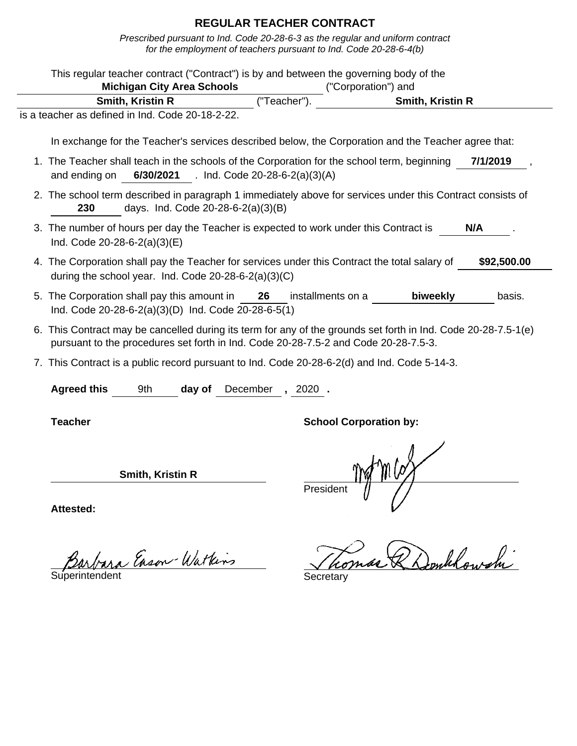Prescribed pursuant to Ind. Code 20-28-6-3 as the regular and uniform contract for the employment of teachers pursuant to Ind. Code 20-28-6-4(b)

| This regular teacher contract ("Contract") is by and between the governing body of the<br><b>Michigan City Area Schools</b>                                                                           |          |                   |                                         |             |
|-------------------------------------------------------------------------------------------------------------------------------------------------------------------------------------------------------|----------|-------------------|-----------------------------------------|-------------|
| Smith, Kristin R                                                                                                                                                                                      |          | ("Teacher")       | ("Corporation") and<br>Smith, Kristin R |             |
| is a teacher as defined in Ind. Code 20-18-2-22.                                                                                                                                                      |          |                   |                                         |             |
| In exchange for the Teacher's services described below, the Corporation and the Teacher agree that:                                                                                                   |          |                   |                                         |             |
|                                                                                                                                                                                                       |          |                   |                                         |             |
| 1. The Teacher shall teach in the schools of the Corporation for the school term, beginning<br>6/30/2021 . Ind. Code 20-28-6-2(a)(3)(A)<br>and ending on                                              |          |                   |                                         | 7/1/2019    |
| 2. The school term described in paragraph 1 immediately above for services under this Contract consists of<br>days. Ind. Code 20-28-6-2(a)(3)(B)<br>230                                               |          |                   |                                         |             |
| 3. The number of hours per day the Teacher is expected to work under this Contract is<br>Ind. Code $20-28-6-2(a)(3)(E)$                                                                               |          |                   |                                         | N/A         |
| 4. The Corporation shall pay the Teacher for services under this Contract the total salary of<br>during the school year. Ind. Code $20-28-6-2(a)(3)(C)$                                               |          |                   |                                         | \$92,500.00 |
| 5. The Corporation shall pay this amount in 26<br>Ind. Code 20-28-6-2(a)(3)(D) Ind. Code 20-28-6-5(1)                                                                                                 |          | installments on a | biweekly                                | basis.      |
| 6. This Contract may be cancelled during its term for any of the grounds set forth in Ind. Code 20-28-7.5-1(e)<br>pursuant to the procedures set forth in Ind. Code 20-28-7.5-2 and Code 20-28-7.5-3. |          |                   |                                         |             |
| 7. This Contract is a public record pursuant to Ind. Code 20-28-6-2(d) and Ind. Code 5-14-3.                                                                                                          |          |                   |                                         |             |
| <b>Agreed this</b><br>9th<br>day of                                                                                                                                                                   | December | $, 2020$ .        |                                         |             |
| <b>Teacher</b>                                                                                                                                                                                        |          |                   | <b>School Corporation by:</b>           |             |
| Smith, Kristin R                                                                                                                                                                                      |          | President         |                                         |             |
| <b>Attested:</b>                                                                                                                                                                                      |          |                   |                                         |             |

Tomas & Donklowshi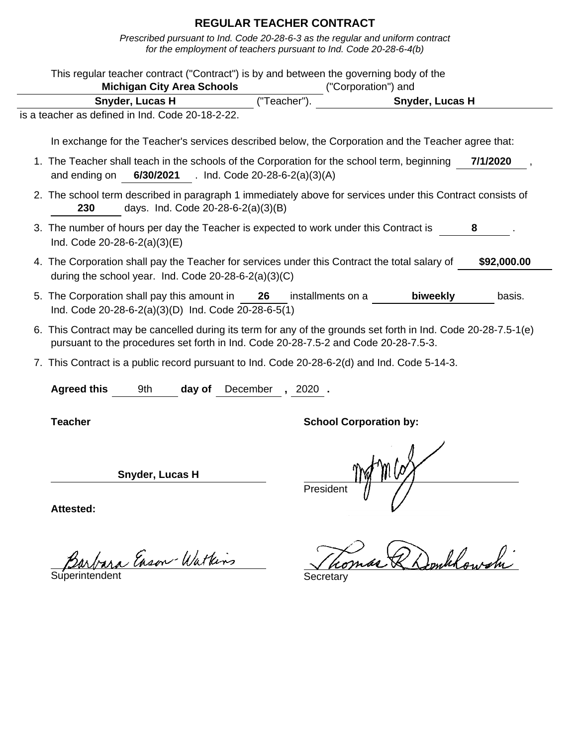Prescribed pursuant to Ind. Code 20-28-6-3 as the regular and uniform contract for the employment of teachers pursuant to Ind. Code 20-28-6-4(b)

| This regular teacher contract ("Contract") is by and between the governing body of the                                                                                                                |                                          |             |                               |                 |             |
|-------------------------------------------------------------------------------------------------------------------------------------------------------------------------------------------------------|------------------------------------------|-------------|-------------------------------|-----------------|-------------|
|                                                                                                                                                                                                       | <b>Michigan City Area Schools</b>        |             | ("Corporation") and           |                 |             |
| Snyder, Lucas H                                                                                                                                                                                       |                                          | ("Teacher") |                               | Snyder, Lucas H |             |
| is a teacher as defined in Ind. Code 20-18-2-22.                                                                                                                                                      |                                          |             |                               |                 |             |
| In exchange for the Teacher's services described below, the Corporation and the Teacher agree that:                                                                                                   |                                          |             |                               |                 |             |
| 1. The Teacher shall teach in the schools of the Corporation for the school term, beginning<br>and ending on                                                                                          | 6/30/2021 . Ind. Code 20-28-6-2(a)(3)(A) |             |                               |                 | 7/1/2020    |
| 2. The school term described in paragraph 1 immediately above for services under this Contract consists of<br>230                                                                                     | days. Ind. Code 20-28-6-2(a)(3)(B)       |             |                               |                 |             |
| 3. The number of hours per day the Teacher is expected to work under this Contract is<br>Ind. Code 20-28-6-2(a)(3)(E)                                                                                 |                                          |             |                               |                 | 8           |
| 4. The Corporation shall pay the Teacher for services under this Contract the total salary of<br>during the school year. Ind. Code 20-28-6-2(a)(3)(C)                                                 |                                          |             |                               |                 | \$92,000.00 |
| 5. The Corporation shall pay this amount in 26<br>Ind. Code 20-28-6-2(a)(3)(D) Ind. Code 20-28-6-5(1)                                                                                                 |                                          |             | installments on a             | biweekly        | basis.      |
| 6. This Contract may be cancelled during its term for any of the grounds set forth in Ind. Code 20-28-7.5-1(e)<br>pursuant to the procedures set forth in Ind. Code 20-28-7.5-2 and Code 20-28-7.5-3. |                                          |             |                               |                 |             |
| 7. This Contract is a public record pursuant to Ind. Code 20-28-6-2(d) and Ind. Code 5-14-3.                                                                                                          |                                          |             |                               |                 |             |
| <b>Agreed this</b><br>9th                                                                                                                                                                             | day of                                   | December    | ,2020.                        |                 |             |
| <b>Teacher</b>                                                                                                                                                                                        |                                          |             | <b>School Corporation by:</b> |                 |             |
| Snyder, Lucas H                                                                                                                                                                                       |                                          |             | President                     |                 |             |
| Attested:                                                                                                                                                                                             |                                          |             |                               |                 |             |

Barbara Enson-Watkins Jho.

Tomas & Donklowshi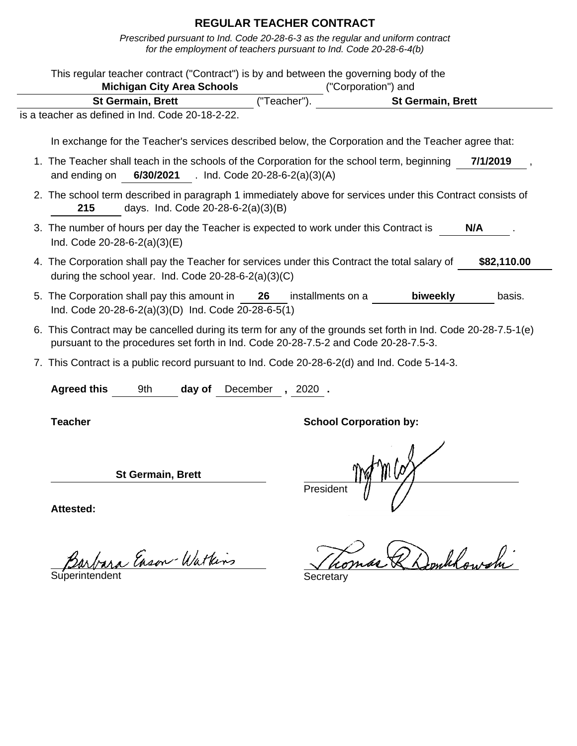Prescribed pursuant to Ind. Code 20-28-6-3 as the regular and uniform contract for the employment of teachers pursuant to Ind. Code 20-28-6-4(b)

| This regular teacher contract ("Contract") is by and between the governing body of the<br><b>Michigan City Area Schools</b>                                                                           |                         | ("Corporation") and           |             |
|-------------------------------------------------------------------------------------------------------------------------------------------------------------------------------------------------------|-------------------------|-------------------------------|-------------|
| <b>St Germain, Brett</b>                                                                                                                                                                              | ("Teacher")             | <b>St Germain, Brett</b>      |             |
| is a teacher as defined in Ind. Code 20-18-2-22.                                                                                                                                                      |                         |                               |             |
| In exchange for the Teacher's services described below, the Corporation and the Teacher agree that:                                                                                                   |                         |                               |             |
| 1. The Teacher shall teach in the schools of the Corporation for the school term, beginning<br>and ending on 6/30/2021 . Ind. Code 20-28-6-2(a)(3)(A)                                                 |                         |                               | 7/1/2019    |
| 2. The school term described in paragraph 1 immediately above for services under this Contract consists of<br>215<br>days. Ind. Code 20-28-6-2(a)(3)(B)                                               |                         |                               |             |
| 3. The number of hours per day the Teacher is expected to work under this Contract is<br>Ind. Code $20-28-6-2(a)(3)(E)$                                                                               |                         |                               | N/A         |
| 4. The Corporation shall pay the Teacher for services under this Contract the total salary of<br>during the school year. Ind. Code 20-28-6-2(a)(3)(C)                                                 |                         |                               | \$82,110.00 |
| 5. The Corporation shall pay this amount in<br>Ind. Code 20-28-6-2(a)(3)(D) Ind. Code 20-28-6-5(1)                                                                                                    | 26<br>installments on a | biweekly                      | basis.      |
| 6. This Contract may be cancelled during its term for any of the grounds set forth in Ind. Code 20-28-7.5-1(e)<br>pursuant to the procedures set forth in Ind. Code 20-28-7.5-2 and Code 20-28-7.5-3. |                         |                               |             |
| 7. This Contract is a public record pursuant to Ind. Code 20-28-6-2(d) and Ind. Code 5-14-3.                                                                                                          |                         |                               |             |
| <b>Agreed this</b><br>9th<br>day of                                                                                                                                                                   | December, 2020.         |                               |             |
| <b>Teacher</b>                                                                                                                                                                                        |                         | <b>School Corporation by:</b> |             |
| <b>St Germain, Brett</b>                                                                                                                                                                              | President               |                               |             |

Barbara Enson Watkins Tho.

Tomas & Donklowshi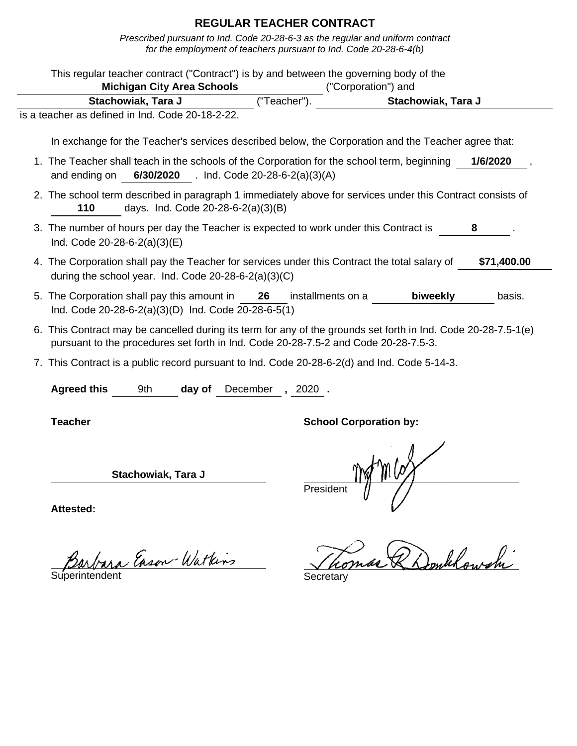Prescribed pursuant to Ind. Code 20-28-6-3 as the regular and uniform contract for the employment of teachers pursuant to Ind. Code 20-28-6-4(b)

| This regular teacher contract ("Contract") is by and between the governing body of the                                                                                                                | <b>Michigan City Area Schools</b>        |        |    |                 | ("Corporation") and           |                    |             |
|-------------------------------------------------------------------------------------------------------------------------------------------------------------------------------------------------------|------------------------------------------|--------|----|-----------------|-------------------------------|--------------------|-------------|
|                                                                                                                                                                                                       | Stachowiak, Tara J                       |        |    | ("Teacher")     |                               | Stachowiak, Tara J |             |
| is a teacher as defined in Ind. Code 20-18-2-22.                                                                                                                                                      |                                          |        |    |                 |                               |                    |             |
| In exchange for the Teacher's services described below, the Corporation and the Teacher agree that:                                                                                                   |                                          |        |    |                 |                               |                    |             |
| 1. The Teacher shall teach in the schools of the Corporation for the school term, beginning<br>and ending on                                                                                          | 6/30/2020 . Ind. Code 20-28-6-2(a)(3)(A) |        |    |                 |                               |                    | 1/6/2020    |
| 2. The school term described in paragraph 1 immediately above for services under this Contract consists of<br>110                                                                                     | days. Ind. Code 20-28-6-2(a)(3)(B)       |        |    |                 |                               |                    |             |
| 3. The number of hours per day the Teacher is expected to work under this Contract is<br>Ind. Code 20-28-6-2(a)(3)(E)                                                                                 |                                          |        |    |                 |                               |                    | 8           |
| 4. The Corporation shall pay the Teacher for services under this Contract the total salary of<br>during the school year. Ind. Code $20-28-6-2(a)(3)(C)$                                               |                                          |        |    |                 |                               |                    | \$71,400.00 |
| 5. The Corporation shall pay this amount in<br>Ind. Code 20-28-6-2(a)(3)(D) Ind. Code 20-28-6-5(1)                                                                                                    |                                          |        | 26 |                 | installments on a             | biweekly           | basis.      |
| 6. This Contract may be cancelled during its term for any of the grounds set forth in Ind. Code 20-28-7.5-1(e)<br>pursuant to the procedures set forth in Ind. Code 20-28-7.5-2 and Code 20-28-7.5-3. |                                          |        |    |                 |                               |                    |             |
| 7. This Contract is a public record pursuant to Ind. Code 20-28-6-2(d) and Ind. Code 5-14-3.                                                                                                          |                                          |        |    |                 |                               |                    |             |
| <b>Agreed this</b>                                                                                                                                                                                    | 9th                                      | day of |    | December, 2020. |                               |                    |             |
| <b>Teacher</b>                                                                                                                                                                                        |                                          |        |    |                 | <b>School Corporation by:</b> |                    |             |
|                                                                                                                                                                                                       | Stachowiak, Tara J                       |        |    | Presiden        |                               |                    |             |
| Attactad:                                                                                                                                                                                             |                                          |        |    |                 |                               |                    |             |

Barbara Enson-Watkins Secretary

Tomas & Donklowshi